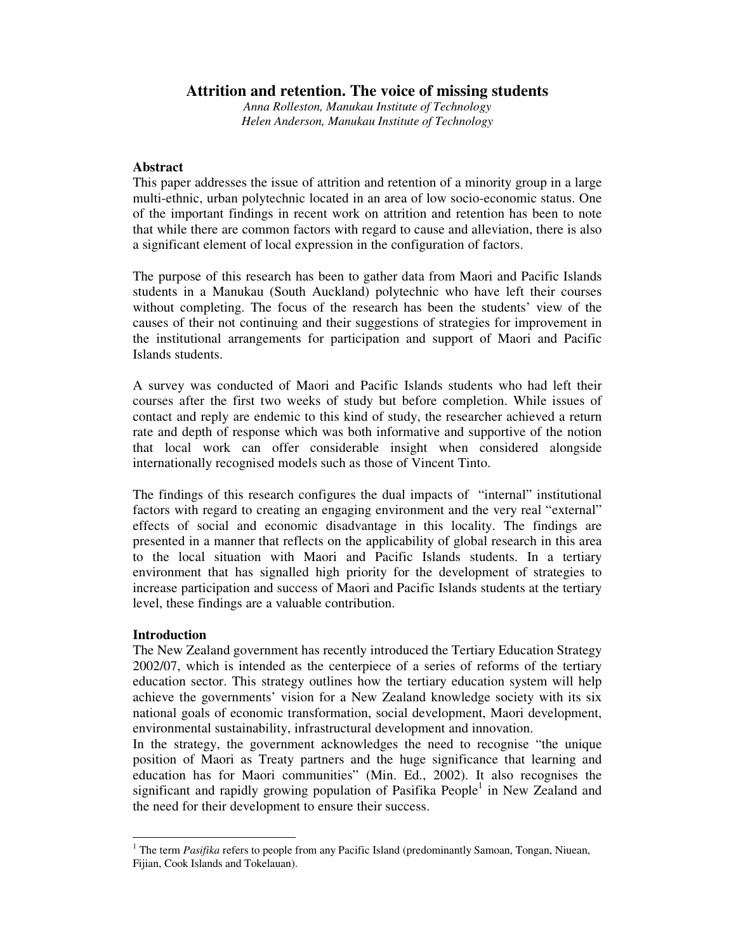# **Attrition and retention. The voice of missing students**

*Anna Rolleston, Manukau Institute of Technology Helen Anderson, Manukau Institute of Technology*

## **Abstract**

This paper addresses the issue of attrition and retention of a minority group in a large multi-ethnic, urban polytechnic located in an area of low socio-economic status. One of the important findings in recent work on attrition and retention has been to note that while there are common factors with regard to cause and alleviation, there is also a significant element of local expression in the configuration of factors.

The purpose of this research has been to gather data from Maori and Pacific Islands students in a Manukau (South Auckland) polytechnic who have left their courses without completing. The focus of the research has been the students' view of the causes of their not continuing and their suggestions of strategies for improvement in the institutional arrangements for participation and support of Maori and Pacific Islands students.

A survey was conducted of Maori and Pacific Islands students who had left their courses after the first two weeks of study but before completion. While issues of contact and reply are endemic to this kind of study, the researcher achieved a return rate and depth of response which was both informative and supportive of the notion that local work can offer considerable insight when considered alongside internationally recognised models such as those of Vincent Tinto.

The findings of this research configures the dual impacts of "internal" institutional factors with regard to creating an engaging environment and the very real "external" effects of social and economic disadvantage in this locality. The findings are presented in a manner that reflects on the applicability of global research in this area to the local situation with Maori and Pacific Islands students. In a tertiary environment that has signalled high priority for the development of strategies to increase participation and success of Maori and Pacific Islands students at the tertiary level, these findings are a valuable contribution.

## **Introduction**

The New Zealand government has recently introduced the Tertiary Education Strategy 2002/07, which is intended as the centerpiece of a series of reforms of the tertiary education sector. This strategy outlines how the tertiary education system will help achieve the governments' vision for a New Zealand knowledge society with its six national goals of economic transformation, social development, Maori development, environmental sustainability, infrastructural development and innovation.

In the strategy, the government acknowledges the need to recognise "the unique position of Maori as Treaty partners and the huge significance that learning and education has for Maori communities" (Min. Ed., 2002). It also recognises the significant and rapidly growing population of Pasifika People<sup>1</sup> in New Zealand and the need for their development to ensure their success.

<sup>&</sup>lt;sup>1</sup> The term *Pasifika* refers to people from any Pacific Island (predominantly Samoan, Tongan, Niuean, Fijian, Cook Islands and Tokelauan).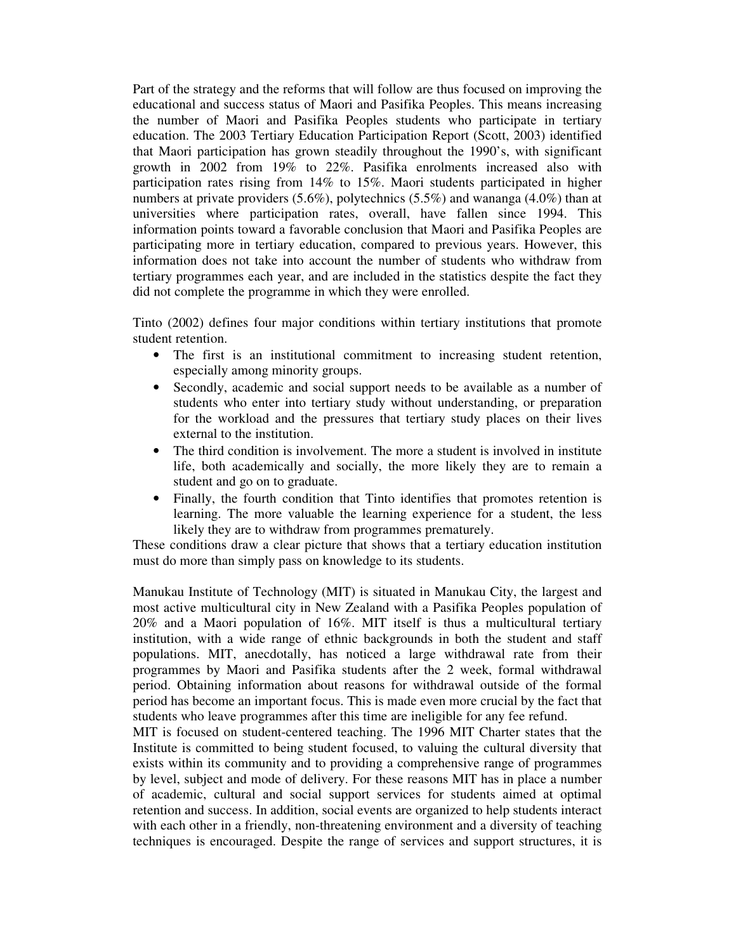Part of the strategy and the reforms that will follow are thus focused on improving the educational and success status of Maori and Pasifika Peoples. This means increasing the number of Maori and Pasifika Peoples students who participate in tertiary education. The 2003 Tertiary Education Participation Report (Scott, 2003) identified that Maori participation has grown steadily throughout the 1990's, with significant growth in 2002 from 19% to 22%. Pasifika enrolments increased also with participation rates rising from 14% to 15%. Maori students participated in higher numbers at private providers (5.6%), polytechnics (5.5%) and wananga (4.0%) than at universities where participation rates, overall, have fallen since 1994. This information points toward a favorable conclusion that Maori and Pasifika Peoples are participating more in tertiary education, compared to previous years. However, this information does not take into account the number of students who withdraw from tertiary programmes each year, and are included in the statistics despite the fact they did not complete the programme in which they were enrolled.

Tinto (2002) defines four major conditions within tertiary institutions that promote student retention.

- The first is an institutional commitment to increasing student retention, especially among minority groups.
- Secondly, academic and social support needs to be available as a number of students who enter into tertiary study without understanding, or preparation for the workload and the pressures that tertiary study places on their lives external to the institution.
- The third condition is involvement. The more a student is involved in institute life, both academically and socially, the more likely they are to remain a student and go on to graduate.
- Finally, the fourth condition that Tinto identifies that promotes retention is learning. The more valuable the learning experience for a student, the less likely they are to withdraw from programmes prematurely.

These conditions draw a clear picture that shows that a tertiary education institution must do more than simply pass on knowledge to its students.

Manukau Institute of Technology (MIT) is situated in Manukau City, the largest and most active multicultural city in New Zealand with a Pasifika Peoples population of 20% and a Maori population of 16%. MIT itself is thus a multicultural tertiary institution, with a wide range of ethnic backgrounds in both the student and staff populations. MIT, anecdotally, has noticed a large withdrawal rate from their programmes by Maori and Pasifika students after the 2 week, formal withdrawal period. Obtaining information about reasons for withdrawal outside of the formal period has become an important focus. This is made even more crucial by the fact that students who leave programmes after this time are ineligible for any fee refund.

MIT is focused on student-centered teaching. The 1996 MIT Charter states that the Institute is committed to being student focused, to valuing the cultural diversity that exists within its community and to providing a comprehensive range of programmes by level, subject and mode of delivery. For these reasons MIT has in place a number of academic, cultural and social support services for students aimed at optimal retention and success. In addition, social events are organized to help students interact with each other in a friendly, non-threatening environment and a diversity of teaching techniques is encouraged. Despite the range of services and support structures, it is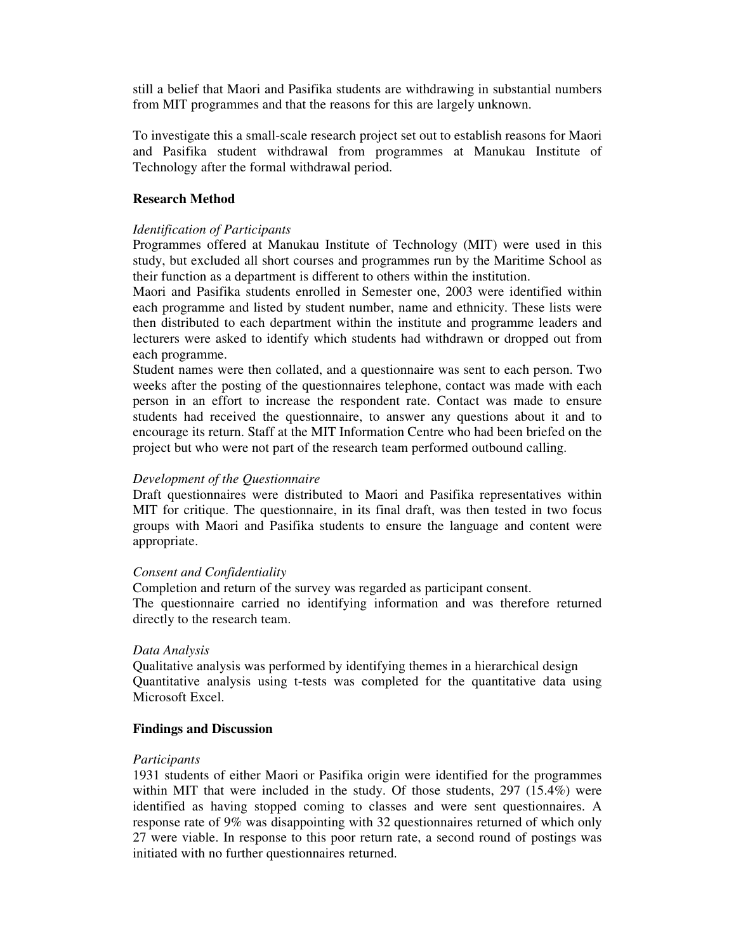still a belief that Maori and Pasifika students are withdrawing in substantial numbers from MIT programmes and that the reasons for this are largely unknown.

To investigate this a small-scale research project set out to establish reasons for Maori and Pasifika student withdrawal from programmes at Manukau Institute of Technology after the formal withdrawal period.

## **Research Method**

#### *Identification of Participants*

Programmes offered at Manukau Institute of Technology (MIT) were used in this study, but excluded all short courses and programmes run by the Maritime School as their function as a department is different to others within the institution.

Maori and Pasifika students enrolled in Semester one, 2003 were identified within each programme and listed by student number, name and ethnicity. These lists were then distributed to each department within the institute and programme leaders and lecturers were asked to identify which students had withdrawn or dropped out from each programme.

Student names were then collated, and a questionnaire was sent to each person. Two weeks after the posting of the questionnaires telephone, contact was made with each person in an effort to increase the respondent rate. Contact was made to ensure students had received the questionnaire, to answer any questions about it and to encourage its return. Staff at the MIT Information Centre who had been briefed on the project but who were not part of the research team performed outbound calling.

#### *Development of the Questionnaire*

Draft questionnaires were distributed to Maori and Pasifika representatives within MIT for critique. The questionnaire, in its final draft, was then tested in two focus groups with Maori and Pasifika students to ensure the language and content were appropriate.

#### *Consent and Confidentiality*

Completion and return of the survey was regarded as participant consent. The questionnaire carried no identifying information and was therefore returned directly to the research team.

#### *Data Analysis*

Qualitative analysis was performed by identifying themes in a hierarchical design Quantitative analysis using t-tests was completed for the quantitative data using Microsoft Excel.

#### **Findings and Discussion**

#### *Participants*

1931 students of either Maori or Pasifika origin were identified for the programmes within MIT that were included in the study. Of those students, 297 (15.4%) were identified as having stopped coming to classes and were sent questionnaires. A response rate of 9% was disappointing with 32 questionnaires returned of which only 27 were viable. In response to this poor return rate, a second round of postings was initiated with no further questionnaires returned.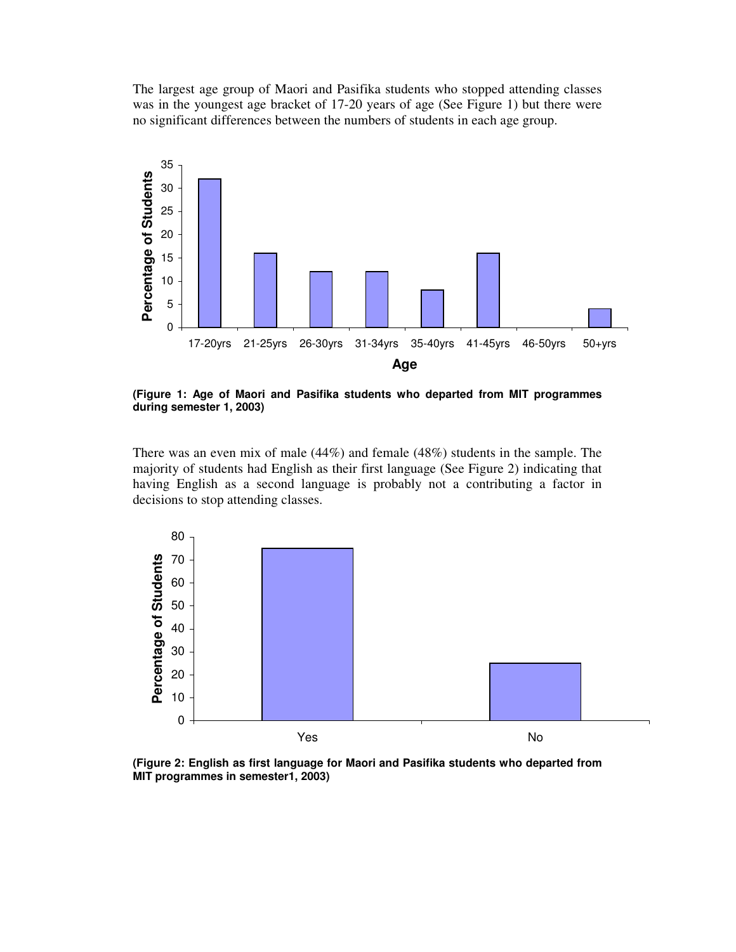The largest age group of Maori and Pasifika students who stopped attending classes was in the youngest age bracket of 17-20 years of age (See Figure 1) but there were no significant differences between the numbers of students in each age group.



**(Figure 1: Age of Maori and Pasifika students who departed from MIT programmes during semester 1, 2003)**

There was an even mix of male (44%) and female (48%) students in the sample. The majority of students had English as their first language (See Figure 2) indicating that having English as a second language is probably not a contributing a factor in decisions to stop attending classes.



**(Figure 2: English as first language for Maori and Pasifika students who departed from MIT programmes in semester1, 2003)**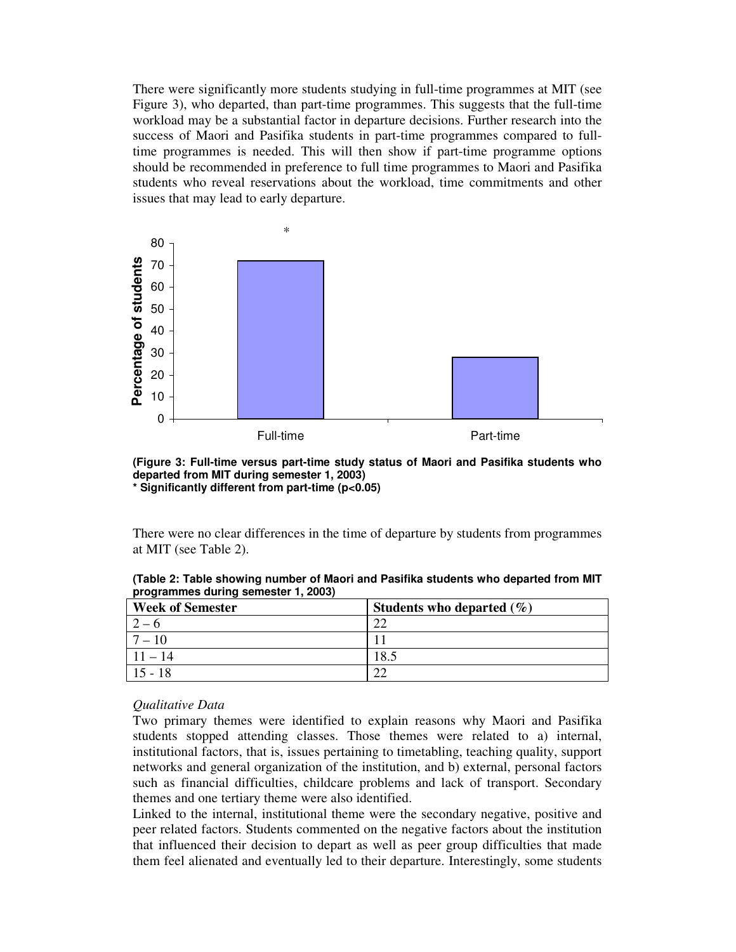There were significantly more students studying in full-time programmes at MIT (see Figure 3), who departed, than part-time programmes. This suggests that the full-time workload may be a substantial factor in departure decisions. Further research into the success of Maori and Pasifika students in part-time programmes compared to fulltime programmes is needed. This will then show if part-time programme options should be recommended in preference to full time programmes to Maori and Pasifika students who reveal reservations about the workload, time commitments and other issues that may lead to early departure.



**(Figure 3: Full-time versus part-time study status of Maori and Pasifika students who departed from MIT during semester 1, 2003) \* Significantly different from part-time (p<0.05)**

There were no clear differences in the time of departure by students from programmes at MIT (see Table 2).

| <b>Week of Semester</b> | Students who departed $(\% )$ |
|-------------------------|-------------------------------|
|                         |                               |
| $-10$                   |                               |
| $11 - 14$               | 18.:                          |
| $15 - 18$               |                               |

**(Table 2: Table showing number of Maori and Pasifika students who departed from MIT programmes during semester 1, 2003)**

## *Qualitative Data*

Two primary themes were identified to explain reasons why Maori and Pasifika students stopped attending classes. Those themes were related to a) internal, institutional factors, that is, issues pertaining to timetabling, teaching quality, support networks and general organization of the institution, and b) external, personal factors such as financial difficulties, childcare problems and lack of transport. Secondary themes and one tertiary theme were also identified.

Linked to the internal, institutional theme were the secondary negative, positive and peer related factors. Students commented on the negative factors about the institution that influenced their decision to depart as well as peer group difficulties that made them feel alienated and eventually led to their departure. Interestingly, some students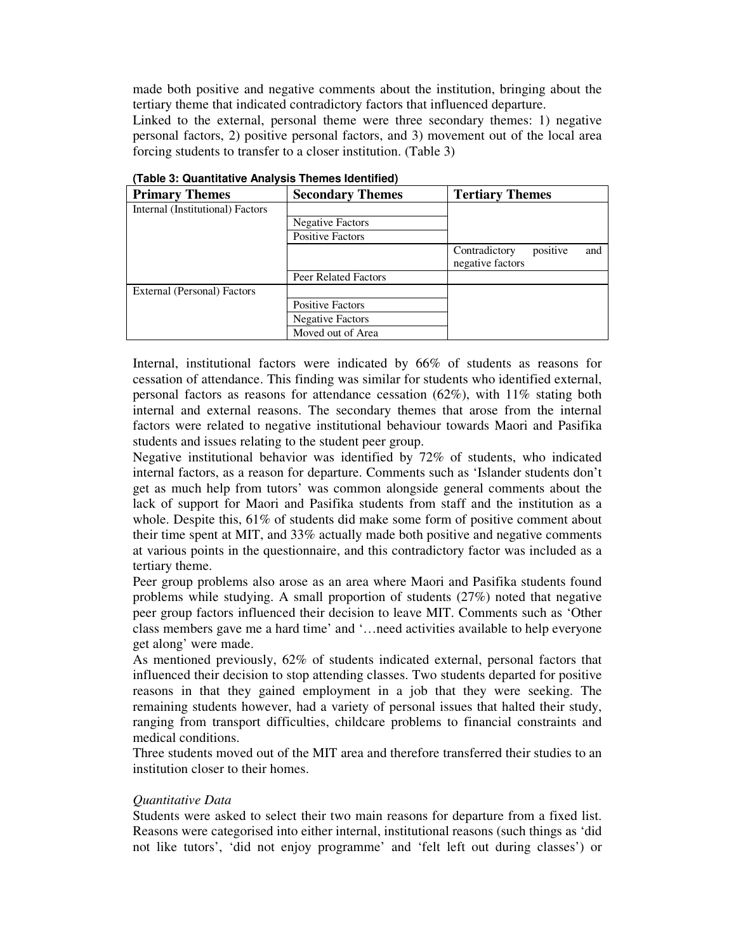made both positive and negative comments about the institution, bringing about the tertiary theme that indicated contradictory factors that influenced departure.

Linked to the external, personal theme were three secondary themes: 1) negative personal factors, 2) positive personal factors, and 3) movement out of the local area forcing students to transfer to a closer institution. (Table 3)

| <b>Primary Themes</b>            | <b>Secondary Themes</b> | <b>Tertiary Themes</b>           |
|----------------------------------|-------------------------|----------------------------------|
| Internal (Institutional) Factors |                         |                                  |
|                                  | <b>Negative Factors</b> |                                  |
|                                  | <b>Positive Factors</b> |                                  |
|                                  |                         | positive<br>Contradictory<br>and |
|                                  |                         | negative factors                 |
|                                  | Peer Related Factors    |                                  |
| External (Personal) Factors      |                         |                                  |
|                                  | <b>Positive Factors</b> |                                  |
|                                  | <b>Negative Factors</b> |                                  |
|                                  | Moved out of Area       |                                  |

**(Table 3: Quantitative Analysis Themes Identified)**

Internal, institutional factors were indicated by 66% of students as reasons for cessation of attendance. This finding was similar for students who identified external, personal factors as reasons for attendance cessation  $(62\%)$ , with  $11\%$  stating both internal and external reasons. The secondary themes that arose from the internal factors were related to negative institutional behaviour towards Maori and Pasifika students and issues relating to the student peer group.

Negative institutional behavior was identified by 72% of students, who indicated internal factors, as a reason for departure. Comments such as 'Islander students don't get as much help from tutors' was common alongside general comments about the lack of support for Maori and Pasifika students from staff and the institution as a whole. Despite this, 61% of students did make some form of positive comment about their time spent at MIT, and 33% actually made both positive and negative comments at various points in the questionnaire, and this contradictory factor was included as a tertiary theme.

Peer group problems also arose as an area where Maori and Pasifika students found problems while studying. A small proportion of students (27%) noted that negative peer group factors influenced their decision to leave MIT. Comments such as 'Other class members gave me a hard time' and '…need activities available to help everyone get along' were made.

As mentioned previously, 62% of students indicated external, personal factors that influenced their decision to stop attending classes. Two students departed for positive reasons in that they gained employment in a job that they were seeking. The remaining students however, had a variety of personal issues that halted their study, ranging from transport difficulties, childcare problems to financial constraints and medical conditions.

Three students moved out of the MIT area and therefore transferred their studies to an institution closer to their homes.

# *Quantitative Data*

Students were asked to select their two main reasons for departure from a fixed list. Reasons were categorised into either internal, institutional reasons (such things as 'did not like tutors', 'did not enjoy programme' and 'felt left out during classes') or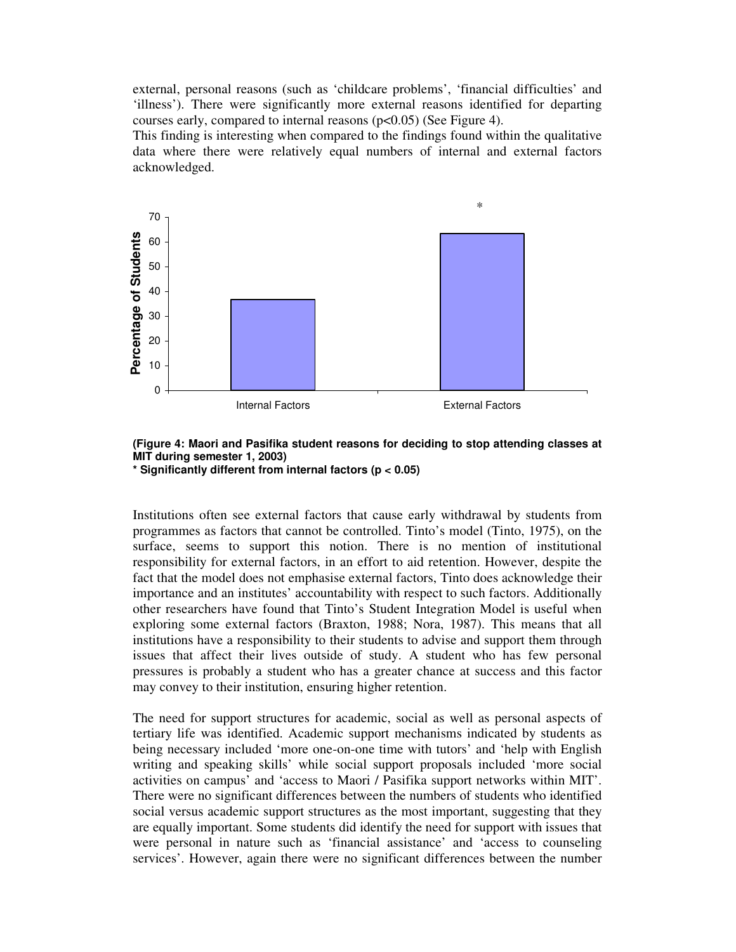external, personal reasons (such as 'childcare problems', 'financial difficulties' and 'illness'). There were significantly more external reasons identified for departing courses early, compared to internal reasons (p<0.05) (See Figure 4).

This finding is interesting when compared to the findings found within the qualitative data where there were relatively equal numbers of internal and external factors acknowledged.



**(Figure 4: Maori and Pasifika student reasons for deciding to stop attending classes at MIT during semester 1, 2003) \* Significantly different from internal factors (p < 0.05)**

Institutions often see external factors that cause early withdrawal by students from programmes as factors that cannot be controlled. Tinto's model (Tinto, 1975), on the surface, seems to support this notion. There is no mention of institutional responsibility for external factors, in an effort to aid retention. However, despite the fact that the model does not emphasise external factors, Tinto does acknowledge their importance and an institutes' accountability with respect to such factors. Additionally other researchers have found that Tinto's Student Integration Model is useful when exploring some external factors (Braxton, 1988; Nora, 1987). This means that all institutions have a responsibility to their students to advise and support them through issues that affect their lives outside of study. A student who has few personal pressures is probably a student who has a greater chance at success and this factor may convey to their institution, ensuring higher retention.

The need for support structures for academic, social as well as personal aspects of tertiary life was identified. Academic support mechanisms indicated by students as being necessary included 'more one-on-one time with tutors' and 'help with English writing and speaking skills' while social support proposals included 'more social activities on campus' and 'access to Maori / Pasifika support networks within MIT'. There were no significant differences between the numbers of students who identified social versus academic support structures as the most important, suggesting that they are equally important. Some students did identify the need for support with issues that were personal in nature such as 'financial assistance' and 'access to counseling services'. However, again there were no significant differences between the number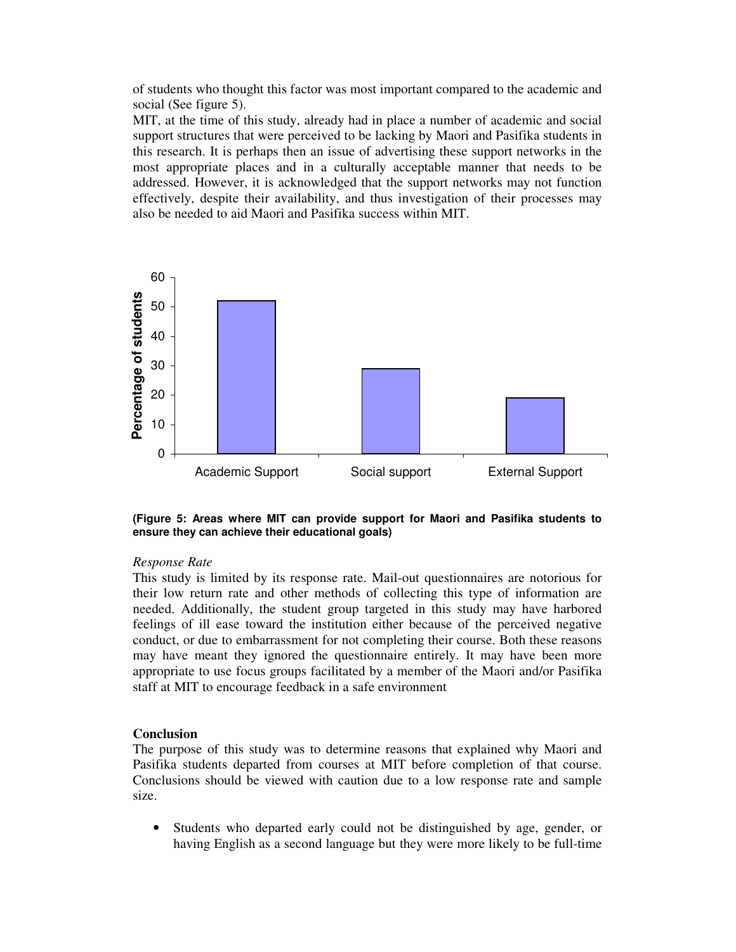of students who thought this factor was most important compared to the academic and social (See figure 5).

MIT, at the time of this study, already had in place a number of academic and social support structures that were perceived to be lacking by Maori and Pasifika students in this research. It is perhaps then an issue of advertising these support networks in the most appropriate places and in a culturally acceptable manner that needs to be addressed. However, it is acknowledged that the support networks may not function effectively, despite their availability, and thus investigation of their processes may also be needed to aid Maori and Pasifika success within MIT.



**(Figure 5: Areas where MIT can provide support for Maori and Pasifika students to ensure they can achieve their educational goals)**

## *Response Rate*

This study is limited by its response rate. Mail-out questionnaires are notorious for their low return rate and other methods of collecting this type of information are needed. Additionally, the student group targeted in this study may have harbored feelings of ill ease toward the institution either because of the perceived negative conduct, or due to embarrassment for not completing their course. Both these reasons may have meant they ignored the questionnaire entirely. It may have been more appropriate to use focus groups facilitated by a member of the Maori and/or Pasifika staff at MIT to encourage feedback in a safe environment

## **Conclusion**

The purpose of this study was to determine reasons that explained why Maori and Pasifika students departed from courses at MIT before completion of that course. Conclusions should be viewed with caution due to a low response rate and sample size.

Students who departed early could not be distinguished by age, gender, or having English as a second language but they were more likely to be full-time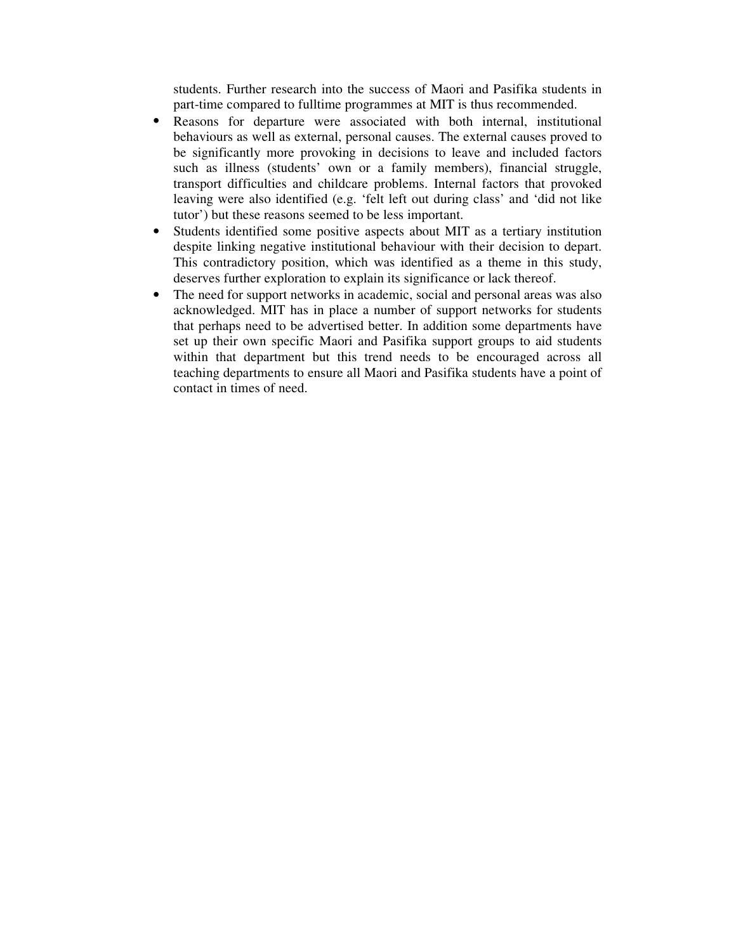students. Further research into the success of Maori and Pasifika students in part-time compared to fulltime programmes at MIT is thus recommended.

- Reasons for departure were associated with both internal, institutional behaviours as well as external, personal causes. The external causes proved to be significantly more provoking in decisions to leave and included factors such as illness (students' own or a family members), financial struggle, transport difficulties and childcare problems. Internal factors that provoked leaving were also identified (e.g. 'felt left out during class' and 'did not like tutor') but these reasons seemed to be less important.
- Students identified some positive aspects about MIT as a tertiary institution despite linking negative institutional behaviour with their decision to depart. This contradictory position, which was identified as a theme in this study, deserves further exploration to explain its significance or lack thereof.
- The need for support networks in academic, social and personal areas was also acknowledged. MIT has in place a number of support networks for students that perhaps need to be advertised better. In addition some departments have set up their own specific Maori and Pasifika support groups to aid students within that department but this trend needs to be encouraged across all teaching departments to ensure all Maori and Pasifika students have a point of contact in times of need.